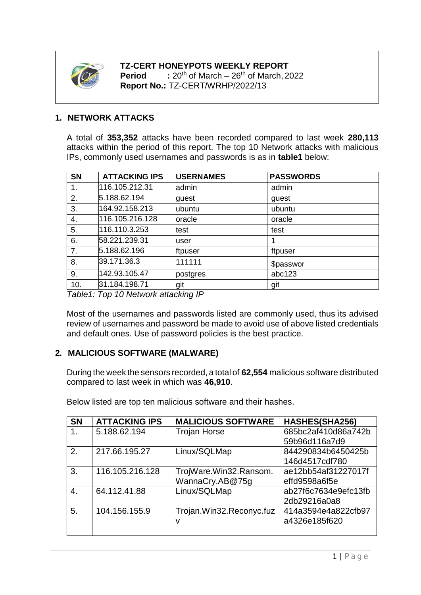

**TZ-CERT HONEYPOTS WEEKLY REPORT Period**  $\cdot$   $\cdot$  20<sup>th</sup> of March – 26<sup>th</sup> of March, 2022 **Report No.:** TZ-CERT/WRHP/2022/13

## **1. NETWORK ATTACKS**

A total of **353,352** attacks have been recorded compared to last week **280,113** attacks within the period of this report. The top 10 Network attacks with malicious IPs, commonly used usernames and passwords is as in **table1** below:

| <b>SN</b>      | <b>ATTACKING IPS</b> | <b>USERNAMES</b> | <b>PASSWORDS</b> |
|----------------|----------------------|------------------|------------------|
| 1.             | 116.105.212.31       | admin            | admin            |
| 2.             | 5.188.62.194         | guest            | guest            |
| 3.             | 164.92.158.213       | ubuntu           | ubuntu           |
| 4.             | 116.105.216.128      | oracle           | oracle           |
| 5.             | 116.110.3.253        | test             | test             |
| 6.             | 58.221.239.31        | user             |                  |
| 7 <sub>1</sub> | 5.188.62.196         | ftpuser          | ftpuser          |
| 8.             | 39.171.36.3          | 111111           | \$passwor        |
| 9.             | 142.93.105.47        | postgres         | abc123           |
| 10.            | 31.184.198.71        | git              | git              |

*Table1: Top 10 Network attacking IP*

Most of the usernames and passwords listed are commonly used, thus its advised review of usernames and password be made to avoid use of above listed credentials and default ones. Use of password policies is the best practice.

## **2. MALICIOUS SOFTWARE (MALWARE)**

During the week the sensors recorded, a total of **62,554** malicious software distributed compared to last week in which was **46,910**.

| <b>SN</b> | <b>ATTACKING IPS</b> | <b>MALICIOUS SOFTWARE</b> | HASHES(SHA256)       |
|-----------|----------------------|---------------------------|----------------------|
| 1.        | 5.188.62.194         | <b>Trojan Horse</b>       | 685bc2af410d86a742b  |
|           |                      |                           | 59b96d116a7d9        |
| 2.        | 217.66.195.27        | Linux/SQLMap              | 844290834b6450425b   |
|           |                      |                           | 146d4517cdf780       |
| 3.        | 116.105.216.128      | TrojWare.Win32.Ransom.    | ae12bb54af31227017f  |
|           |                      | WannaCry.AB@75g           | effd9598a6f5e        |
| 4.        | 64.112.41.88         | Linux/SQLMap              | ab27f6c7634e9efc13fb |
|           |                      |                           | 2db29216a0a8         |
| 5.        | 104.156.155.9        | Trojan.Win32.Reconyc.fuz  | 414a3594e4a822cfb97  |
|           |                      | ν                         | a4326e185f620        |
|           |                      |                           |                      |

Below listed are top ten malicious software and their hashes.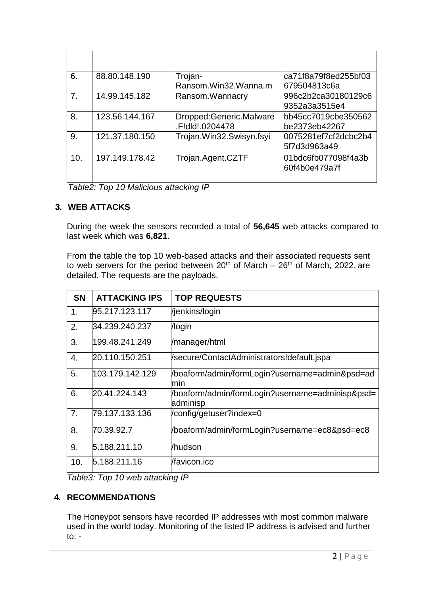| 6.             | 88.80.148.190  | Trojan-<br>Ransom.Win32.Wanna.m            | ca71f8a79f8ed255bf03<br>679504813c6a |
|----------------|----------------|--------------------------------------------|--------------------------------------|
| 7 <sub>1</sub> | 14.99.145.182  | Ransom. Wannacry                           | 996c2b2ca30180129c6<br>9352a3a3515e4 |
| 8.             | 123.56.144.167 | Dropped:Generic.Malware<br>.F!dld!.0204478 | bb45cc7019cbe350562<br>be2373eb42267 |
| 9.             | 121.37.180.150 | Trojan.Win32.Swisyn.fsyi                   | 0075281ef7cf2dcbc2b4<br>5f7d3d963a49 |
| 10.            | 197.149.178.42 | Trojan.Agent.CZTF                          | 01bdc6fb077098f4a3b<br>60f4b0e479a7f |

*Table2: Top 10 Malicious attacking IP*

## **3. WEB ATTACKS**

During the week the sensors recorded a total of **56,645** web attacks compared to last week which was **6,821**.

From the table the top 10 web-based attacks and their associated requests sent to web servers for the period between  $20<sup>th</sup>$  of March –  $26<sup>th</sup>$  of March, 2022, are detailed. The requests are the payloads.

| <b>SN</b>      | <b>ATTACKING IPS</b> | <b>TOP REQUESTS</b>                                         |
|----------------|----------------------|-------------------------------------------------------------|
| 1.             | 95.217.123.117       | Vjenkins/login                                              |
| 2.             | 34.239.240.237       | /login                                                      |
| 3.             | 199.48.241.249       | /manager/html                                               |
| 4.             | 20.110.150.251       | /secure/ContactAdministrators!default.jspa                  |
| 5.             | 103.179.142.129      | /boaform/admin/formLogin?username=admin&psd=ad<br>min       |
| 6.             | 20.41.224.143        | /boaform/admin/formLogin?username=adminisp&psd=<br>adminisp |
| 7 <sub>1</sub> | 79.137.133.136       | /config/getuser?index=0                                     |
| 8.             | 70.39.92.7           | /boaform/admin/formLogin?username=ec8&psd=ec8               |
| 9.             | 5.188.211.10         | /hudson                                                     |
| 10.            | 5.188.211.16         | /favicon.ico                                                |

*Table3: Top 10 web attacking IP*

## **4. RECOMMENDATIONS**

The Honeypot sensors have recorded IP addresses with most common malware used in the world today. Monitoring of the listed IP address is advised and further to:  $-$